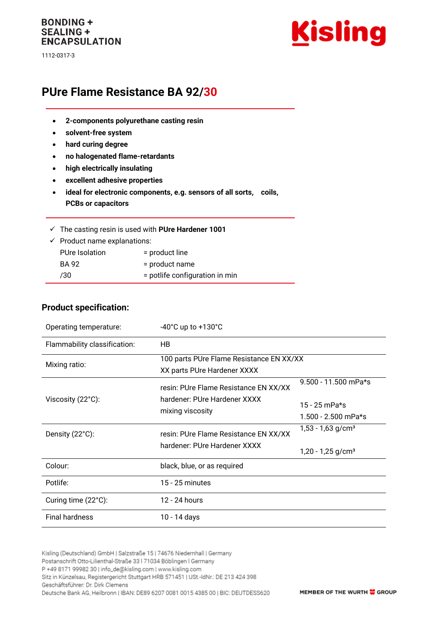### **BONDING + SEALING + ENCAPSULATION**

1112-0317-3



# **PUre Flame Resistance BA 92/30**

- **2-components polyurethane casting resin**
- **solvent-free system**
- **hard curing degree**
- **no halogenated flame-retardants**
- **high electrically insulating**
- **excellent adhesive properties**
- **ideal for electronic components, e.g. sensors of all sorts, coils, PCBs or capacitors**

|                                         | $\checkmark$ The casting resin is used with PUre Hardener 1001 |
|-----------------------------------------|----------------------------------------------------------------|
| $\checkmark$ Product name explanations: |                                                                |
| PUre Isolation                          | $=$ product line                                               |

| BA 92 | = product name                 |
|-------|--------------------------------|
| /30   | = potlife configuration in min |

#### **Product specification:**

| Operating temperature:       | $-40^{\circ}$ C up to $+130^{\circ}$ C                                                    |                                                                    |  |
|------------------------------|-------------------------------------------------------------------------------------------|--------------------------------------------------------------------|--|
| Flammability classification: | <b>HB</b>                                                                                 |                                                                    |  |
| Mixing ratio:                | 100 parts PUre Flame Resistance EN XX/XX<br>XX parts PUre Hardener XXXX                   |                                                                    |  |
| Viscosity (22°C):            | resin: PUre Flame Resistance EN XX/XX<br>hardener: PUre Hardener XXXX<br>mixing viscosity | 9.500 - 11.500 mPa*s<br>15 - 25 mPa*s<br>$1.500 - 2.500$ mPa*s     |  |
| Density $(22^{\circ}C)$ :    | resin: PUre Flame Resistance EN XX/XX<br>hardener: PUre Hardener XXXX                     | $1,53 - 1,63$ g/cm <sup>3</sup><br>$1,20 - 1,25$ g/cm <sup>3</sup> |  |
| Colour:                      | black, blue, or as required                                                               |                                                                    |  |
| Potlife:                     | 15 - 25 minutes                                                                           |                                                                    |  |
| Curing time (22°C):          | 12 - 24 hours                                                                             |                                                                    |  |
| <b>Final hardness</b>        | 10 - 14 days                                                                              |                                                                    |  |

Kisling (Deutschland) GmbH | Salzstraße 15 | 74676 Niedernhall | Germany Postanschrift Otto-Lilienthal-Straße 33 | 71034 Böblingen | Germany P +49 8171 99982 30 | info\_de@kisling.com | www.kisling.com Sitz in Künzelsau, Registergericht Stuttgart HRB 571451 | USt.-IdNr.: DE 213 424 398 Geschäftsführer: Dr. Dirk Clemens Deutsche Bank AG, Heilbronn | IBAN: DE89 6207 0081 0015 4385 00 | BIC: DEUTDESS620